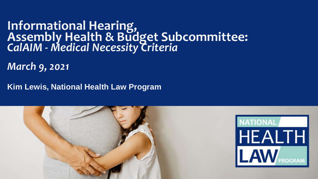### **Informational Hearing, Assembly Health & Budget Subcommittee:**  *CalAIM - Medical Necessity Criteria*

*March 9, 2021*

**Kim Lewis, National Health Law Program**

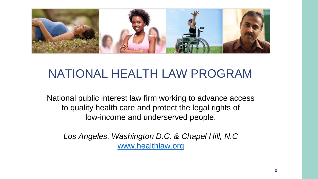

## NATIONAL HEALTH LAW PROGRAM

National public interest law firm working to advance access to quality health care and protect the legal rights of low-income and underserved people.

*Los Angeles, Washington D.C. & Chapel Hill, N.C* [www.healthlaw.org](http://www.healthlaw.org/)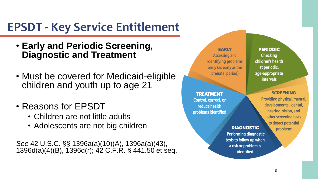## **EPSDT - Key Service Entitlement**

- **Early and Periodic Screening, Diagnostic and Treatment**
- Must be covered for Medicaid-eligible children and youth up to age 21
- Reasons for EPSDT
	- Children are not little adults
	- Adolescents are not big children

*See* 42 U.S.C. §§ 1396a(a)(10)(A), 1396a(a)(43), 1396d(a)(4)(B), 1396d(r); 42 C.F.R. § 441.50 et seq.

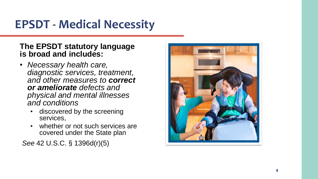# **EPSDT - Medical Necessity**

#### **The EPSDT statutory language is broad and includes:**

- *Necessary health care, diagnostic services, treatment, and other measures to correct or ameliorate defects and physical and mental illnesses and conditions* 
	- discovered by the screening services,
	- whether or not such services are covered under the State plan

*See* 42 U.S.C. § 1396d(r)(5)

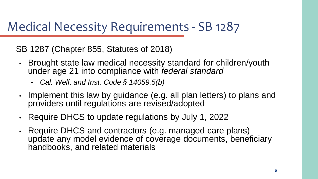## Medical Necessity Requirements - SB 1287

SB 1287 (Chapter 855, Statutes of 2018)

- Brought state law medical necessity standard for children/youth under age 21 into compliance with *federal standard*
	- *Cal. Welf. and Inst. Code § 14059.5(b)*
- Implement this law by guidance (e.g. all plan letters) to plans and providers until regulations are revised/adopted
- Require DHCS to update regulations by July 1, 2022
- Require DHCS and contractors (e.g. managed care plans) update any model evidence of coverage documents, beneficiary handbooks, and related materials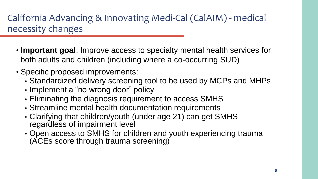### California Advancing & Innovating Medi-Cal (CalAIM) - medical necessity changes

- **Important goal**: Improve access to specialty mental health services for both adults and children (including where a co-occurring SUD)
- Specific proposed improvements:
	- Standardized delivery screening tool to be used by MCPs and MHPs
	- Implement a "no wrong door" policy
	- Eliminating the diagnosis requirement to access SMHS
	- Streamline mental health documentation requirements
	- Clarifying that children/youth (under age 21) can get SMHS regardless of impairment level
	- Open access to SMHS for children and youth experiencing trauma (ACEs score through trauma screening)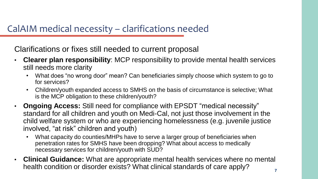#### CalAIM medical necessity – clarifications needed

Clarifications or fixes still needed to current proposal

- **Clearer plan responsibility**: MCP responsibility to provide mental health services still needs more clarity
	- What does "no wrong door" mean? Can beneficiaries simply choose which system to go to for services?
	- Children/youth expanded access to SMHS on the basis of circumstance is selective; What is the MCP obligation to these children/youth?
- **Ongoing Access:** Still need for compliance with EPSDT "medical necessity" standard for all children and youth on Medi-Cal, not just those involvement in the child welfare system or who are experiencing homelessness (e.g. juvenile justice involved, "at risk" children and youth)
	- What capacity do counties/MHPs have to serve a larger group of beneficiaries when penetration rates for SMHS have been dropping? What about access to medically necessary services for children/youth with SUD?
- **Clinical Guidance:** What are appropriate mental health services where no mental health condition or disorder exists? What clinical standards of care apply?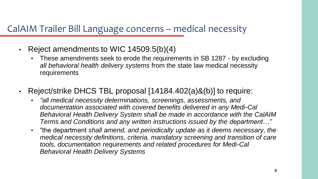#### CalAIM Trailer Bill Language concerns – medical necessity

- Reject amendments to WIC 14509.5(b)(4)
	- These amendments seek to erode the requirements in SB 1287 by excluding *all behavioral health delivery systems* from the state law medical necessity requirements
- Reject/strike DHCS TBL proposal [14184.402(a)&(b)] to require:
	- *"all medical necessity determinations, screenings, assessments, and documentation associated with covered benefits delivered in any Medi-Cal Behavioral Health Delivery System shall be made in accordance with the CalAIM Terms and Conditions and any written instructions issued by the department…"*
	- "the department *shall amend, and periodically update as it deems necessary, the medical necessity definitions, criteria, mandatory screening and transition of care tools, documentation requirements and related procedures for Medi-Cal Behavioral Health Delivery Systems*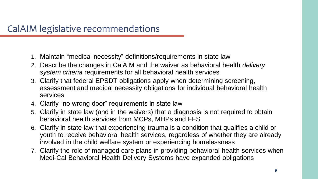- 1. Maintain "medical necessity" definitions/requirements in state law
- 2. Describe the changes in CalAIM and the waiver as behavioral health *delivery system criteria* requirements for all behavioral health services
- 3. Clarify that federal EPSDT obligations apply when determining screening, assessment and medical necessity obligations for individual behavioral health services
- 4. Clarify "no wrong door" requirements in state law
- 5. Clarify in state law (and in the waivers) that a diagnosis is not required to obtain behavioral health services from MCPs, MHPs and FFS
- 6. Clarify in state law that experiencing trauma is a condition that qualifies a child or youth to receive behavioral health services, regardless of whether they are already involved in the child welfare system or experiencing homelessness
- 7. Clarify the role of managed care plans in providing behavioral health services when Medi-Cal Behavioral Health Delivery Systems have expanded obligations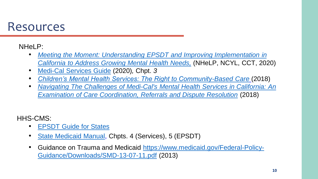## Resources

#### NHeLP:

- *[Meeting the Moment: Understanding EPSDT and Improving Implementation in](https://healthlaw.org/resource/meeting-the-moment-understanding-epsdt-and-improving-implementation-in-california-to-address-growing-mental-health-needs/) California to Address Growing Mental Health Needs[,](https://healthlaw.org/resource/meeting-the-moment-understanding-epsdt-and-improving-implementation-in-california-to-address-growing-mental-health-needs/)* (NHeLP, NCYL, CCT, 2020)
- [Medi-Cal Services Guide](https://healthlaw.org/resource/an-advocates-guide-to-medi-cal-services/) (2020)*,* Chpt. *3*
- *[Children's Mental Health Services: The Right to Community-Based Care](https://healthlaw.org/resource/childrens-mental-health-services-the-right-to-community-based-care/)* (2018)
- *[Navigating The Challenges of Medi-Cal's Mental Health Services in California: An](https://healthlaw.org/resource/navigating-the-challenges-of-medi-cals-mental-health-services-in-california-an-examination-of-care-coordination-referrals-and-dispute-resolution/)  Examination of Care Coordination, Referrals and Dispute Resolution* (2018)

HHS-CMS:

- **[EPSDT Guide for States](https://www.medicaid.gov/sites/default/files/2019-12/epsdt_coverage_guide.pdf)**
- [State Medicaid Manual,](https://www.cms.gov/Regulations-and-Guidance/Guidance/Manuals/Paper-Based-Manuals-Items/CMS021927) Chpts. 4 (Services), 5 (EPSDT)
- [Guidance on Trauma and Medicaid https://www.medicaid.gov/Federal-Policy-](https://www.medicaid.gov/Federal-Policy-Guidance/Downloads/SMD-13-07-11.pdf)Guidance/Downloads/SMD-13-07-11.pdf (2013)